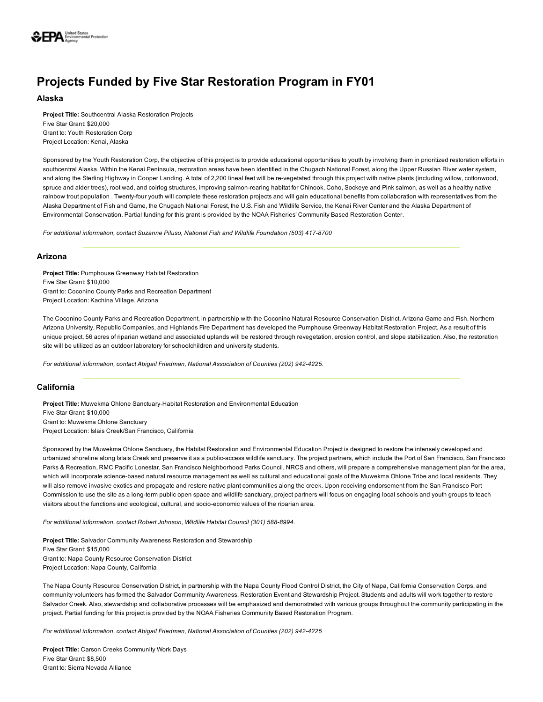

# Projects Funded by Five Star Restoration Program in FY01

# Alaska

Project Title: Southcentral Alaska Restoration Projects Five Star Grant: \$20,000 Grant to: Youth Restoration Corp Project Location: Kenai, Alaska

Sponsored by the Youth Restoration Corp, the objective of this project is to provide educational opportunities to youth by involving them in prioritized restoration efforts in southcentral Alaska. Within the Kenai Peninsula, restoration areas have been identified in the Chugach National Forest, along the Upper Russian River water system, and along the Sterling Highway in Cooper Landing. A total of 2,200 lineal feet will be re-vegetated through this project with native plants (including willow, cottonwood, spruce and alder trees), root wad, and coirlog structures, improving salmon-rearing habitat for Chinook, Coho, Sockeye and Pink salmon, as well as a healthy native rainbow trout population . Twenty-four youth will complete these restoration projects and will gain educational benefits from collaboration with representatives from the Alaska Department of Fish and Game, the Chugach National Forest, the U.S. Fish and Wildlife Service, the Kenai River Center and the Alaska Department of Environmental Conservation. Partial funding for this grant is provided by the NOAA Fisheries' Community Based Restoration Center.

For additional information, contact Suzanne Piluso, National Fish and Wildlife Foundation (503) 417-8700

# Arizona

Project Title: Pumphouse Greenway Habitat Restoration Five Star Grant: \$10,000 Grant to: Coconino County Parks and Recreation Department Project Location: Kachina Village, Arizona

The Coconino County Parks and Recreation Department, in partnership with the Coconino Natural Resource Conservation District, Arizona Game and Fish, Northern Arizona University, Republic Companies, and Highlands Fire Department has developed the Pumphouse Greenway Habitat Restoration Project. As a result of this unique project, 56 acres of riparian wetland and associated uplands will be restored through revegetation, erosion control, and slope stabilization. Also, the restoration site will be utilized as an outdoor laboratory for schoolchildren and university students.

*For additional information, contact Abigail Friedman, National Association of Counties (202) 9424225.*

# California

Project Title: Muwekma Ohlone Sanctuary-Habitat Restoration and Environmental Education Five Star Grant: \$10,000 Grant to: Muwekma Ohlone Sanctuary Project Location: Islais Creek/San Francisco, California

Sponsored by the Muwekma Ohlone Sanctuary, the Habitat Restoration and Environmental Education Project is designed to restore the intensely developed and urbanized shoreline along Islais Creek and preserve it as a public-access wildlife sanctuary. The project partners, which include the Port of San Francisco, San Francisco Parks & Recreation, RMC Pacific Lonestar, San Francisco Neighborhood Parks Council, NRCS and others, will prepare a comprehensive management plan for the area, which will incorporate science-based natural resource management as well as cultural and educational goals of the Muwekma Ohlone Tribe and local residents. They will also remove invasive exotics and propagate and restore native plant communities along the creek. Upon receiving endorsement from the San Francisco Port Commission to use the site as a long-term public open space and wildlife sanctuary, project partners will focus on engaging local schools and youth groups to teach visitors about the functions and ecological, cultural, and socioeconomic values of the riparian area.

For additional information, contact Robert Johnson, Wildlife Habitat Council (301) 588-8994.

Project Title: Salvador Community Awareness Restoration and Stewardship Five Star Grant: \$15,000 Grant to: Napa County Resource Conservation District Project Location: Napa County, California

The Napa County Resource Conservation District, in partnership with the Napa County Flood Control District, the City of Napa, California Conservation Corps, and community volunteers has formed the Salvador Community Awareness, Restoration Event and Stewardship Project. Students and adults will work together to restore Salvador Creek. Also, stewardship and collaborative processes will be emphasized and demonstrated with various groups throughout the community participating in the project. Partial funding for this project is provided by the NOAA Fisheries Community Based Restoration Program.

*For additional information, contact Abigail Friedman, National Association of Counties (202) 9424225*

Project Title: Carson Creeks Community Work Days Five Star Grant: \$8,500 Grant to: Sierra Nevada Alliance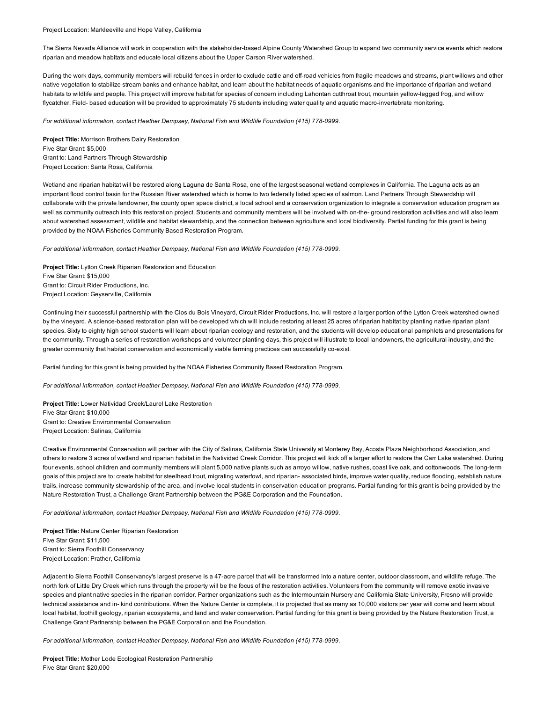#### Project Location: Markleeville and Hope Valley, California

The Sierra Nevada Alliance will work in cooperation with the stakeholder-based Alpine County Watershed Group to expand two community service events which restore riparian and meadow habitats and educate local citizens about the Upper Carson River watershed.

During the work days, community members will rebuild fences in order to exclude cattle and off-road vehicles from fragile meadows and streams, plant willows and other native vegetation to stabilize stream banks and enhance habitat, and learn about the habitat needs of aquatic organisms and the importance of riparian and wetland habitats to wildlife and people. This project will improve habitat for species of concern including Lahontan cutthroat trout, mountain yellow-legged frog, and willow flycatcher. Field- based education will be provided to approximately 75 students including water quality and aquatic macro-invertebrate monitoring.

For additional information, contact Heather Dempsey, National Fish and Wildlife Foundation (415) 778-0999.

Project Title: Morrison Brothers Dairy Restoration Five Star Grant: \$5,000 Grant to: Land Partners Through Stewardship Project Location: Santa Rosa, California

Wetland and riparian habitat will be restored along Laguna de Santa Rosa, one of the largest seasonal wetland complexes in California. The Laguna acts as an important flood control basin for the Russian River watershed which is home to two federally listed species of salmon. Land Partners Through Stewardship will collaborate with the private landowner, the county open space district, a local school and a conservation organization to integrate a conservation education program as well as community outreach into this restoration project. Students and community members will be involved with on-the- ground restoration activities and will also learn about watershed assessment, wildlife and habitat stewardship, and the connection between agriculture and local biodiversity. Partial funding for this grant is being provided by the NOAA Fisheries Community Based Restoration Program.

For additional information, contact Heather Dempsey, National Fish and Wildlife Foundation (415) 778-0999.

Project Title: Lytton Creek Riparian Restoration and Education Five Star Grant: \$15,000 Grant to: Circuit Rider Productions, Inc. Project Location: Geyserville, California

Continuing their successful partnership with the Clos du Bois Vineyard, Circuit Rider Productions, Inc. will restore a larger portion of the Lytton Creek watershed owned by the vineyard. A science-based restoration plan will be developed which will include restoring at least 25 acres of riparian habitat by planting native riparian plant species. Sixty to eighty high school students will learn about riparian ecology and restoration, and the students will develop educational pamphlets and presentations for the community. Through a series of restoration workshops and volunteer planting days, this project will illustrate to local landowners, the agricultural industry, and the greater community that habitat conservation and economically viable farming practices can successfully co-exist.

Partial funding for this grant is being provided by the NOAA Fisheries Community Based Restoration Program.

For additional information, contact Heather Dempsey, National Fish and Wildlife Foundation (415) 778-0999.

Project Title: Lower Natividad Creek/Laurel Lake Restoration Five Star Grant: \$10,000 Grant to: Creative Environmental Conservation Project Location: Salinas, California

Creative Environmental Conservation will partner with the City of Salinas, California State University at Monterey Bay, Acosta Plaza Neighborhood Association, and others to restore 3 acres of wetland and riparian habitat in the Natividad Creek Corridor. This project will kick off a larger effort to restore the Carr Lake watershed. During four events, school children and community members will plant 5,000 native plants such as arroyo willow, native rushes, coast live oak, and cottonwoods. The long-term goals of this project are to: create habitat for steelhead trout, migrating waterfowl, and riparian-associated birds, improve water quality, reduce flooding, establish nature trails, increase community stewardship of the area, and involve local students in conservation education programs. Partial funding for this grant is being provided by the Nature Restoration Trust, a Challenge Grant Partnership between the PG&E Corporation and the Foundation.

For additional information, contact Heather Dempsey, National Fish and Wildlife Foundation (415) 778-0999.

Project Title: Nature Center Riparian Restoration Five Star Grant: \$11,500 Grant to: Sierra Foothill Conservancy Project Location: Prather, California

Adjacent to Sierra Foothill Conservancy's largest preserve is a 47-acre parcel that will be transformed into a nature center, outdoor classroom, and wildlife refuge. The north fork of Little Dry Creek which runs through the property will be the focus of the restoration activities. Volunteers from the community will remove exotic invasive species and plant native species in the riparian corridor. Partner organizations such as the Intermountain Nursery and California State University, Fresno will provide technical assistance and in kind contributions. When the Nature Center is complete, it is projected that as many as 10,000 visitors per year will come and learn about local habitat, foothill geology, riparian ecosystems, and land and water conservation. Partial funding for this grant is being provided by the Nature Restoration Trust, a Challenge Grant Partnership between the PG&E Corporation and the Foundation.

For additional information, contact Heather Dempsey, National Fish and Wildlife Foundation (415) 778-0999.

Project Title: Mother Lode Ecological Restoration Partnership Five Star Grant: \$20,000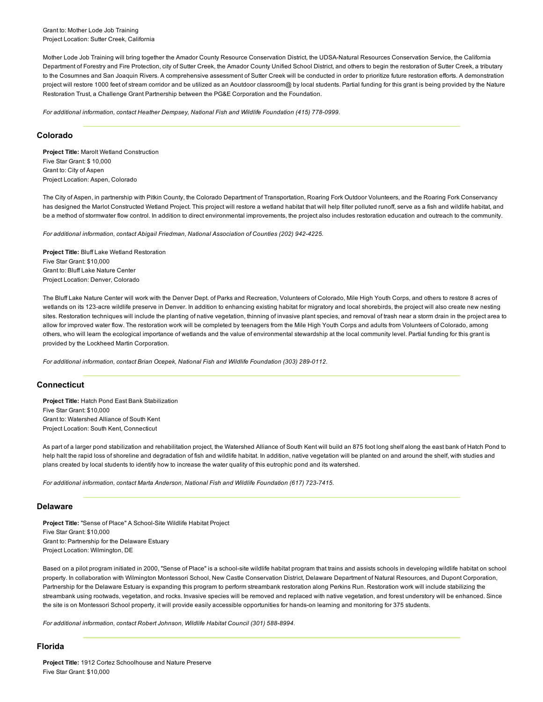Grant to: Mother Lode Job Training Project Location: Sutter Creek, California

Mother Lode Job Training will bring together the Amador County Resource Conservation District, the UDSA-Natural Resources Conservation Service, the California Department of Forestry and Fire Protection, city of Sutter Creek, the Amador County Unified School District, and others to begin the restoration of Sutter Creek, a tributary to the Cosumnes and San Joaquin Rivers. A comprehensive assessment of Sutter Creek will be conducted in order to prioritize future restoration efforts. A demonstration project will restore 1000 feet of stream corridor and be utilized as an Aoutdoor classroom@ by local students. Partial funding for this grant is being provided by the Nature Restoration Trust, a Challenge Grant Partnership between the PG&E Corporation and the Foundation.

For additional information, contact Heather Dempsey, National Fish and Wildlife Foundation (415) 778-0999.

## Colorado

Project Title: Marolt Wetland Construction Five Star Grant: \$ 10,000 Grant to: City of Aspen Project Location: Aspen, Colorado

The City of Aspen, in partnership with Pitkin County, the Colorado Department of Transportation, Roaring Fork Outdoor Volunteers, and the Roaring Fork Conservancy has designed the Marlot Constructed Wetland Project. This project will restore a wetland habitat that will help filter polluted runoff, serve as a fish and wildlife habitat, and be a method of stormwater flow control. In addition to direct environmental improvements, the project also includes restoration education and outreach to the community.

For additional information, contact Abigail Friedman, National Association of Counties (202) 942-4225.

Project Title: Bluff Lake Wetland Restoration Five Star Grant: \$10,000 Grant to: Bluff Lake Nature Center Project Location: Denver, Colorado

The Bluff Lake Nature Center will work with the Denver Dept. of Parks and Recreation, Volunteers of Colorado, Mile High Youth Corps, and others to restore 8 acres of wetlands on its 123-acre wildlife preserve in Denver. In addition to enhancing existing habitat for migratory and local shorebirds, the project will also create new nesting sites. Restoration techniques will include the planting of native vegetation, thinning of invasive plant species, and removal of trash near a storm drain in the project area to allow for improved water flow. The restoration work will be completed by teenagers from the Mile High Youth Corps and adults from Volunteers of Colorado, among others, who will learn the ecological importance of wetlands and the value of environmental stewardship at the local community level. Partial funding for this grant is provided by the Lockheed Martin Corporation.

*For additional information, contact Brian Ocepek, National Fish and Wildlife Foundation (303) 2890112.*

# **Connecticut**

Project Title: Hatch Pond East Bank Stabilization Five Star Grant: \$10,000 Grant to: Watershed Alliance of South Kent Project Location: South Kent, Connecticut

As part of a larger pond stabilization and rehabilitation project, the Watershed Alliance of South Kent will build an 875 foot long shelf along the east bank of Hatch Pond to help halt the rapid loss of shoreline and degradation of fish and wildlife habitat. In addition, native vegetation will be planted on and around the shelf, with studies and plans created by local students to identify how to increase the water quality of this eutrophic pond and its watershed.

For additional information, contact Marta Anderson, National Fish and Wildlife Foundation (617) 723-7415.

# Delaware

Project Title: "Sense of Place" A School-Site Wildlife Habitat Project Five Star Grant: \$10,000 Grant to: Partnership for the Delaware Estuary Project Location: Wilmington, DE

Based on a pilot program initiated in 2000, "Sense of Place" is a school-site wildlife habitat program that trains and assists schools in developing wildlife habitat on school property. In collaboration with Wilmington Montessori School, New Castle Conservation District, Delaware Department of Natural Resources, and Dupont Corporation, Partnership for the Delaware Estuary is expanding this program to perform streambank restoration along Perkins Run. Restoration work will include stabilizing the streambank using rootwads, vegetation, and rocks. Invasive species will be removed and replaced with native vegetation, and forest understory will be enhanced. Since the site is on Montessori School property, it will provide easily accessible opportunities for hands-on learning and monitoring for 375 students.

For additional information, contact Robert Johnson, Wildlife Habitat Council (301) 588-8994.

# Florida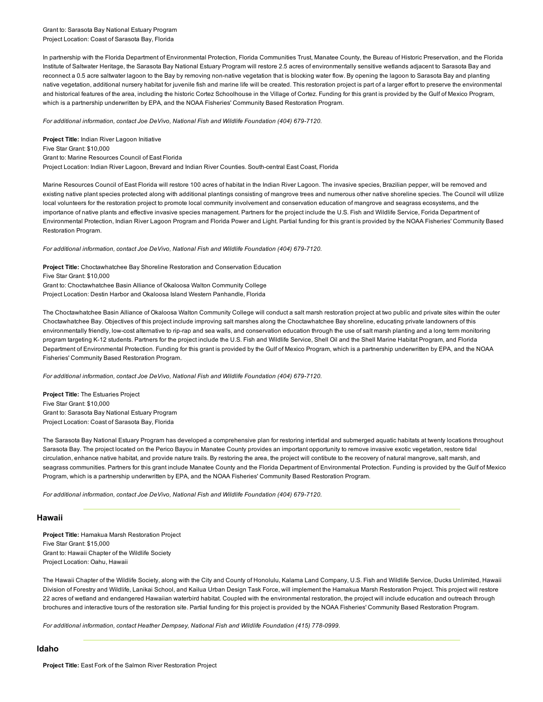Grant to: Sarasota Bay National Estuary Program Project Location: Coast of Sarasota Bay, Florida

In partnership with the Florida Department of Environmental Protection, Florida Communities Trust, Manatee County, the Bureau of Historic Preservation, and the Florida Institute of Saltwater Heritage, the Sarasota Bay National Estuary Program will restore 2.5 acres of environmentally sensitive wetlands adjacent to Sarasota Bay and reconnect a 0.5 acre saltwater lagoon to the Bay by removing non-native vegetation that is blocking water flow. By opening the lagoon to Sarasota Bay and planting native vegetation, additional nursery habitat for juvenile fish and marine life will be created. This restoration project is part of a larger effort to preserve the environmental and historical features of the area, including the historic Cortez Schoolhouse in the Village of Cortez. Funding for this grant is provided by the Gulf of Mexico Program, which is a partnership underwritten by EPA, and the NOAA Fisheries' Community Based Restoration Program.

For additional information, contact Joe DeVivo, National Fish and Wildlife Foundation (404) 679-7120.

Project Title: Indian River Lagoon Initiative Five Star Grant: \$10,000 Grant to: Marine Resources Council of East Florida Project Location: Indian River Lagoon, Brevard and Indian River Counties. South-central East Coast, Florida

Marine Resources Council of East Florida will restore 100 acres of habitat in the Indian River Lagoon. The invasive species, Brazilian pepper, will be removed and existing native plant species protected along with additional plantings consisting of mangrove trees and numerous other native shoreline species. The Council will utilize local volunteers for the restoration project to promote local community involvement and conservation education of mangrove and seagrass ecosystems, and the importance of native plants and effective invasive species management. Partners for the project include the U.S. Fish and Wildlife Service, Forida Department of Environmental Protection, Indian River Lagoon Program and Florida Power and Light. Partial funding for this grant is provided by the NOAA Fisheries' Community Based Restoration Program.

*For additional information, contact Joe DeVivo, National Fish and Wildlife Foundation (404) 679-7120.* 

Project Title: Choctawhatchee Bay Shoreline Restoration and Conservation Education Five Star Grant: \$10,000 Grant to: Choctawhatchee Basin Alliance of Okaloosa Walton Community College Project Location: Destin Harbor and Okaloosa Island Western Panhandle, Florida

The Choctawhatchee Basin Alliance of Okaloosa Walton Community College will conduct a salt marsh restoration project at two public and private sites within the outer Choctawhatchee Bay. Objectives of this project include improving salt marshes along the Choctawhatchee Bay shoreline, educating private landowners of this environmentally friendly, low-cost alternative to rip-rap and sea walls, and conservation education through the use of salt marsh planting and a long term monitoring program targeting K12 students. Partners for the project include the U.S. Fish and Wildlife Service, Shell Oil and the Shell Marine Habitat Program, and Florida Department of Environmental Protection. Funding for this grant is provided by the Gulf of Mexico Program, which is a partnership underwritten by EPA, and the NOAA Fisheries' Community Based Restoration Program.

For additional information, contact Joe DeVivo, National Fish and Wildlife Foundation (404) 679-7120.

Project Title: The Estuaries Project Five Star Grant: \$10,000 Grant to: Sarasota Bay National Estuary Program Project Location: Coast of Sarasota Bay, Florida

The Sarasota Bay National Estuary Program has developed a comprehensive plan for restoring intertidal and submerged aquatic habitats at twenty locations throughout Sarasota Bay. The project located on the Perico Bayou in Manatee County provides an important opportunity to remove invasive exotic vegetation, restore tidal circulation, enhance native habitat, and provide nature trails. By restoring the area, the project will contibute to the recovery of natural mangrove, salt marsh, and seagrass communities. Partners for this grant include Manatee County and the Florida Department of Environmental Protection. Funding is provided by the Gulf of Mexico Program, which is a partnership underwritten by EPA, and the NOAA Fisheries' Community Based Restoration Program.

*For additional information, contact Joe DeVivo, National Fish and Wildlife Foundation (404) 679-7120.* 

# Hawaii

Project Title: Hamakua Marsh Restoration Project Five Star Grant: \$15,000 Grant to: Hawaii Chapter of the Wildlife Society Project Location: Oahu, Hawaii

The Hawaii Chapter of the Wildlife Society, along with the City and County of Honolulu, Kalama Land Company, U.S. Fish and Wildlife Service, Ducks Unlimited, Hawaii Division of Forestry and Wildlife, Lanikai School, and Kailua Urban Design Task Force, will implement the Hamakua Marsh Restoration Project. This project will restore 22 acres of wetland and endangered Hawaiian waterbird habitat. Coupled with the environmental restoration, the project will include education and outreach through brochures and interactive tours of the restoration site. Partial funding for this project is provided by the NOAA Fisheries' Community Based Restoration Program.

For additional information, contact Heather Dempsey, National Fish and Wildlife Foundation (415) 778-0999.

### Idaho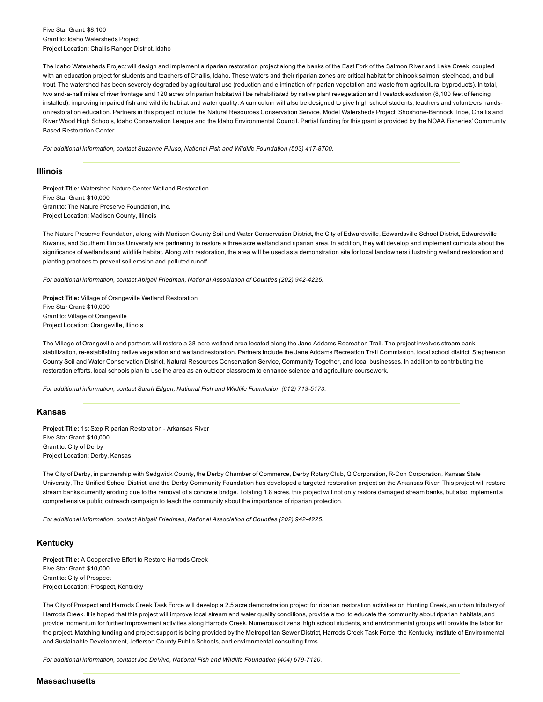Five Star Grant: \$8,100 Grant to: Idaho Watersheds Project Project Location: Challis Ranger District, Idaho

The Idaho Watersheds Project will design and implement a riparian restoration project along the banks of the East Fork of the Salmon River and Lake Creek, coupled with an education project for students and teachers of Challis, Idaho. These waters and their riparian zones are critical habitat for chinook salmon, steelhead, and bull trout. The watershed has been severely degraded by agricultural use (reduction and elimination of riparian vegetation and waste from agricultural byproducts). In total, two and-a-half miles of river frontage and 120 acres of riparian habitat will be rehabilitated by native plant revegetation and livestock exclusion (8,100 feet of fencing installed), improving impaired fish and wildlife habitat and water quality. A curriculum will also be designed to give high school students, teachers and volunteers handson restoration education. Partners in this project include the Natural Resources Conservation Service, Model Watersheds Project, Shoshone-Bannock Tribe, Challis and River Wood High Schools, Idaho Conservation League and the Idaho Environmental Council. Partial funding for this grant is provided by the NOAA Fisheries' Community Based Restoration Center.

For additional information, contact Suzanne Piluso, National Fish and Wildlife Foundation (503) 417-8700.

#### Illinois

Project Title: Watershed Nature Center Wetland Restoration Five Star Grant: \$10,000 Grant to: The Nature Preserve Foundation, Inc. Project Location: Madison County, Illinois

The Nature Preserve Foundation, along with Madison County Soil and Water Conservation District, the City of Edwardsville, Edwardsville School District, Edwardsville Kiwanis, and Southern Illinois University are partnering to restore a three acre wetland and riparian area. In addition, they will develop and implement curricula about the significance of wetlands and wildlife habitat. Along with restoration, the area will be used as a demonstration site for local landowners illustrating wetland restoration and planting practices to prevent soil erosion and polluted runoff.

*For additional information, contact Abigail Friedman, National Association of Counties (202) 9424225.*

Project Title: Village of Orangeville Wetland Restoration Five Star Grant: \$10,000 Grant to: Village of Orangeville Project Location: Orangeville, Illinois

The Village of Orangeville and partners will restore a 38-acre wetland area located along the Jane Addams Recreation Trail. The project involves stream bank stabilization, re-establishing native vegetation and wetland restoration. Partners include the Jane Addams Recreation Trail Commission, local school district, Stephenson County Soil and Water Conservation District, Natural Resources Conservation Service, Community Together, and local businesses. In addition to contributing the restoration efforts, local schools plan to use the area as an outdoor classroom to enhance science and agriculture coursework.

*For additional information, contact Sarah Ellgen, National Fish and Wildlife Foundation (612) 7135173.*

#### Kansas

Project Title: 1st Step Riparian Restoration - Arkansas River Five Star Grant: \$10,000 Grant to: City of Derby Project Location: Derby, Kansas

The City of Derby, in partnership with Sedgwick County, the Derby Chamber of Commerce, Derby Rotary Club, Q Corporation, R-Con Corporation, Kansas State University, The Unified School District, and the Derby Community Foundation has developed a targeted restoration project on the Arkansas River. This project will restore stream banks currently eroding due to the removal of a concrete bridge. Totaling 1.8 acres, this project will not only restore damaged stream banks, but also implement a comprehensive public outreach campaign to teach the community about the importance of riparian protection.

*For additional information, contact Abigail Friedman, National Association of Counties (202) 9424225.*

# Kentucky

Project Title: A Cooperative Effort to Restore Harrods Creek Five Star Grant: \$10,000 Grant to: City of Prospect Project Location: Prospect, Kentucky

The City of Prospect and Harrods Creek Task Force will develop a 2.5 acre demonstration project for riparian restoration activities on Hunting Creek, an urban tributary of Harrods Creek. It is hoped that this project will improve local stream and water quality conditions, provide a tool to educate the community about riparian habitats, and provide momentum for further improvement activities along Harrods Creek. Numerous citizens, high school students, and environmental groups will provide the labor for the project. Matching funding and project support is being provided by the Metropolitan Sewer District, Harrods Creek Task Force, the Kentucky Institute of Environmental and Sustainable Development, Jefferson County Public Schools, and environmental consulting firms.

For additional information, contact Joe DeVivo, National Fish and Wildlife Foundation (404) 679-7120.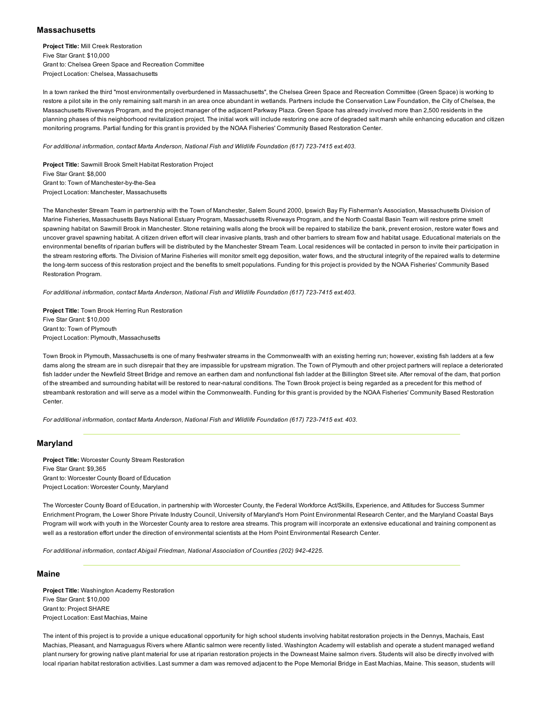# **Massachusetts**

Project Title: Mill Creek Restoration Five Star Grant: \$10,000 Grant to: Chelsea Green Space and Recreation Committee Project Location: Chelsea, Massachusetts

In a town ranked the third "most environmentally overburdened in Massachusetts", the Chelsea Green Space and Recreation Committee (Green Space) is working to restore a pilot site in the only remaining salt marsh in an area once abundant in wetlands. Partners include the Conservation Law Foundation, the City of Chelsea, the Massachusetts Riverways Program, and the project manager of the adjacent Parkway Plaza. Green Space has already involved more than 2,500 residents in the planning phases of this neighborhood revitalization project. The initial work will include restoring one acre of degraded salt marsh while enhancing education and citizen monitoring programs. Partial funding for this grant is provided by the NOAA Fisheries' Community Based Restoration Center.

*For additional information, contact Marta Anderson, National Fish and Wildlife Foundation (617) 7237415 ext.403.*

Project Title: Sawmill Brook Smelt Habitat Restoration Project Five Star Grant: \$8,000 Grant to: Town of Manchester-by-the-Sea Project Location: Manchester, Massachusetts

The Manchester Stream Team in partnership with the Town of Manchester, Salem Sound 2000, Ipswich Bay Fly Fisherman's Association, Massachusetts Division of Marine Fisheries, Massachusetts Bays National Estuary Program, Massachusetts Riverways Program, and the North Coastal Basin Team will restore prime smelt spawning habitat on Sawmill Brook in Manchester. Stone retaining walls along the brook will be repaired to stabilize the bank, prevent erosion, restore water flows and uncover gravel spawning habitat. A citizen driven effort will clear invasive plants, trash and other barriers to stream flow and habitat usage. Educational materials on the environmental benefits of riparian buffers will be distributed by the Manchester Stream Team. Local residences will be contacted in person to invite their participation in the stream restoring efforts. The Division of Marine Fisheries will monitor smelt egg deposition, water flows, and the structural integrity of the repaired walls to determine the long-term success of this restoration project and the benefits to smelt populations. Funding for this project is provided by the NOAA Fisheries' Community Based Restoration Program.

*For additional information, contact Marta Anderson, National Fish and Wildlife Foundation (617) 7237415 ext.403.*

Project Title: Town Brook Herring Run Restoration Five Star Grant: \$10,000 Grant to: Town of Plymouth Project Location: Plymouth, Massachusetts

Town Brook in Plymouth, Massachusetts is one of many freshwater streams in the Commonwealth with an existing herring run; however, existing fish ladders at a few dams along the stream are in such disrepair that they are impassible for upstream migration. The Town of Plymouth and other project partners will replace a deteriorated fish ladder under the Newfield Street Bridge and remove an earthen dam and nonfunctional fish ladder at the Billington Street site. After removal of the dam, that portion of the streambed and surrounding habitat will be restored to near-natural conditions. The Town Brook project is being regarded as a precedent for this method of streambank restoration and will serve as a model within the Commonwealth. Funding for this grant is provided by the NOAA Fisheries' Community Based Restoration Center.

*For additional information, contact Marta Anderson, National Fish and Wildlife Foundation (617) 7237415 ext. 403.*

# Maryland

Project Title: Worcester County Stream Restoration Five Star Grant: \$9,365 Grant to: Worcester County Board of Education Project Location: Worcester County, Maryland

The Worcester County Board of Education, in partnership with Worcester County, the Federal Workforce Act/Skills, Experience, and Attitudes for Success Summer Enrichment Program, the Lower Shore Private Industry Council, University of Maryland's Horn Point Environmental Research Center, and the Maryland Coastal Bays Program will work with youth in the Worcester County area to restore area streams. This program will incorporate an extensive educational and training component as well as a restoration effort under the direction of environmental scientists at the Horn Point Environmental Research Center.

*For additional information, contact Abigail Friedman, National Association of Counties (202) 9424225.*

#### Maine

Project Title: Washington Academy Restoration Five Star Grant: \$10,000 Grant to: Project SHARE Project Location: East Machias, Maine

The intent of this project is to provide a unique educational opportunity for high school students involving habitat restoration projects in the Dennys, Machais, East Machias, Pleasant, and Narraguagus Rivers where Atlantic salmon were recently listed. Washington Academy will establish and operate a student managed wetland plant nursery for growing native plant material for use at riparian restoration projects in the Downeast Maine salmon rivers. Students will also be directly involved with local riparian habitat restoration activities. Last summer a dam was removed adjacent to the Pope Memorial Bridge in East Machias, Maine. This season, students will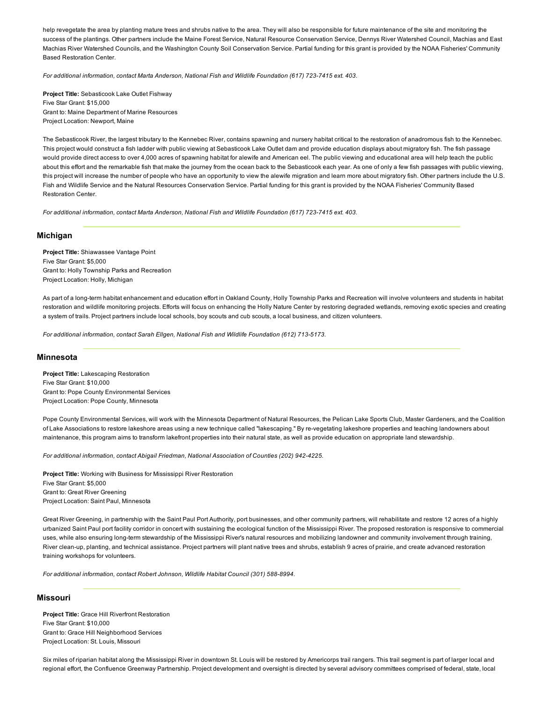help revegetate the area by planting mature trees and shrubs native to the area. They will also be responsible for future maintenance of the site and monitoring the success of the plantings. Other partners include the Maine Forest Service, Natural Resource Conservation Service, Dennys River Watershed Council, Machias and East Machias River Watershed Councils, and the Washington County Soil Conservation Service. Partial funding for this grant is provided by the NOAA Fisheries' Community Based Restoration Center.

*For additional information, contact Marta Anderson, National Fish and Wildlife Foundation (617) 7237415 ext. 403.*

Project Title: Sebasticook Lake Outlet Fishway Five Star Grant: \$15,000 Grant to: Maine Department of Marine Resources Project Location: Newport, Maine

The Sebasticook River, the largest tributary to the Kennebec River, contains spawning and nursery habitat critical to the restoration of anadromous fish to the Kennebec. This project would construct a fish ladder with public viewing at Sebasticook Lake Outlet dam and provide education displays about migratory fish. The fish passage would provide direct access to over 4,000 acres of spawning habitat for alewife and American eel. The public viewing and educational area will help teach the public about this effort and the remarkable fish that make the journey from the ocean back to the Sebasticook each year. As one of only a few fish passages with public viewing, this project will increase the number of people who have an opportunity to view the alewife migration and learn more about migratory fish. Other partners include the U.S. Fish and Wildlife Service and the Natural Resources Conservation Service. Partial funding for this grant is provided by the NOAA Fisheries' Community Based Restoration Center.

For additional information, contact Marta Anderson, National Fish and Wildlife Foundation (617) 723-7415 ext. 403.

## Michigan

Project Title: Shiawassee Vantage Point Five Star Grant: \$5,000 Grant to: Holly Township Parks and Recreation Project Location: Holly, Michigan

As part of a long-term habitat enhancement and education effort in Oakland County, Holly Township Parks and Recreation will involve volunteers and students in habitat restoration and wildlife monitoring projects. Efforts will focus on enhancing the Holly Nature Center by restoring degraded wetlands, removing exotic species and creating a system of trails. Project partners include local schools, boy scouts and cub scouts, a local business, and citizen volunteers.

*For additional information, contact Sarah Ellgen, National Fish and Wildlife Foundation (612) 7135173.*

#### Minnesota

Project Title: Lakescaping Restoration Five Star Grant: \$10,000 Grant to: Pope County Environmental Services Project Location: Pope County, Minnesota

Pope County Environmental Services, will work with the Minnesota Department of Natural Resources, the Pelican Lake Sports Club, Master Gardeners, and the Coalition of Lake Associations to restore lakeshore areas using a new technique called "lakescaping." By re-vegetating lakeshore properties and teaching landowners about maintenance, this program aims to transform lakefront properties into their natural state, as well as provide education on appropriate land stewardship.

*For additional information, contact Abigail Friedman, National Association of Counties (202) 9424225.*

Project Title: Working with Business for Mississippi River Restoration Five Star Grant: \$5,000 Grant to: Great River Greening Project Location: Saint Paul, Minnesota

Great River Greening, in partnership with the Saint Paul Port Authority, port businesses, and other community partners, will rehabilitate and restore 12 acres of a highly urbanized Saint Paul port facility corridor in concert with sustaining the ecological function of the Mississippi River. The proposed restoration is responsive to commercial uses, while also ensuring long-term stewardship of the Mississippi River's natural resources and mobilizing landowner and community involvement through training, River clean-up, planting, and technical assistance. Project partners will plant native trees and shrubs, establish 9 acres of prairie, and create advanced restoration training workshops for volunteers.

*For additional information, contact Robert Johnson, Wildlife Habitat Council (301) 5888994.*

# Missouri

Project Title: Grace Hill Riverfront Restoration Five Star Grant: \$10,000 Grant to: Grace Hill Neighborhood Services Project Location: St. Louis, Missouri

Six miles of riparian habitat along the Mississippi River in downtown St. Louis will be restored by Americorps trail rangers. This trail segment is part of larger local and regional effort, the Confluence Greenway Partnership. Project development and oversight is directed by several advisory committees comprised of federal, state, local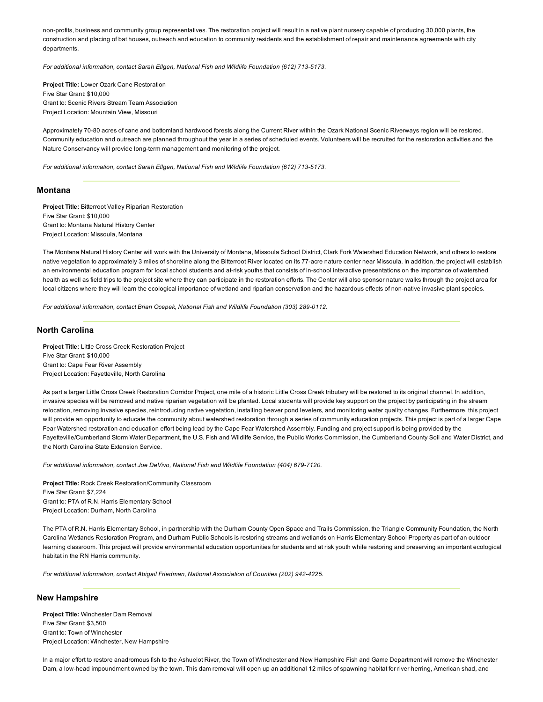non-profits, business and community group representatives. The restoration project will result in a native plant nursery capable of producing 30,000 plants, the construction and placing of bat houses, outreach and education to community residents and the establishment of repair and maintenance agreements with city departments.

For additional information, contact Sarah Ellgen, National Fish and Wildlife Foundation (612) 713-5173.

Project Title: Lower Ozark Cane Restoration Five Star Grant: \$10,000 Grant to: Scenic Rivers Stream Team Association Project Location: Mountain View, Missouri

Approximately 70-80 acres of cane and bottomland hardwood forests along the Current River within the Ozark National Scenic Riverways region will be restored. Community education and outreach are planned throughout the year in a series of scheduled events. Volunteers will be recruited for the restoration activities and the Nature Conservancy will provide long-term management and monitoring of the project.

For additional information, contact Sarah Ellgen, National Fish and Wildlife Foundation (612) 713-5173.

## Montana

Project Title: Bitterroot Valley Riparian Restoration Five Star Grant: \$10,000 Grant to: Montana Natural History Center Project Location: Missoula, Montana

The Montana Natural History Center will work with the University of Montana, Missoula School District, Clark Fork Watershed Education Network, and others to restore native vegetation to approximately 3 miles of shoreline along the Bitterroot River located on its 77-acre nature center near Missoula. In addition, the project will establish an environmental education program for local school students and at-risk youths that consists of in-school interactive presentations on the importance of watershed health as well as field trips to the project site where they can participate in the restoration efforts. The Center will also sponsor nature walks through the project area for local citizens where they will learn the ecological importance of wetland and riparian conservation and the hazardous effects of non-native invasive plant species.

*For additional information, contact Brian Ocepek, National Fish and Wildlife Foundation (303) 2890112.*

# North Carolina

Project Title: Little Cross Creek Restoration Project Five Star Grant: \$10,000 Grant to: Cape Fear River Assembly Project Location: Fayetteville, North Carolina

As part a larger Little Cross Creek Restoration Corridor Project, one mile of a historic Little Cross Creek tributary will be restored to its original channel. In addition, invasive species will be removed and native riparian vegetation will be planted. Local students will provide key support on the project by participating in the stream relocation, removing invasive species, reintroducing native vegetation, installing beaver pond levelers, and monitoring water quality changes. Furthermore, this project will provide an opportunity to educate the community about watershed restoration through a series of community education projects. This project is part of a larger Cape Fear Watershed restoration and education effort being lead by the Cape Fear Watershed Assembly. Funding and project support is being provided by the Fayetteville/Cumberland Storm Water Department, the U.S. Fish and Wildlife Service, the Public Works Commission, the Cumberland County Soil and Water District, and the North Carolina State Extension Service.

For additional information, contact Joe DeVivo, National Fish and Wildlife Foundation (404) 679-7120.

Project Title: Rock Creek Restoration/Community Classroom Five Star Grant: \$7,224 Grant to: PTA of R.N. Harris Elementary School Project Location: Durham, North Carolina

The PTA of R.N. Harris Elementary School, in partnership with the Durham County Open Space and Trails Commission, the Triangle Community Foundation, the North Carolina Wetlands Restoration Program, and Durham Public Schools is restoring streams and wetlands on Harris Elementary School Property as part of an outdoor learning classroom. This project will provide environmental education opportunities for students and at risk youth while restoring and preserving an important ecological habitat in the RN Harris community.

*For additional information, contact Abigail Friedman, National Association of Counties (202) 9424225.*

## New Hampshire

Project Title: Winchester Dam Removal Five Star Grant: \$3,500 Grant to: Town of Winchester Project Location: Winchester, New Hampshire

In a major effort to restore anadromous fish to the Ashuelot River, the Town of Winchester and New Hampshire Fish and Game Department will remove the Winchester Dam, a low-head impoundment owned by the town. This dam removal will open up an additional 12 miles of spawning habitat for river herring, American shad, and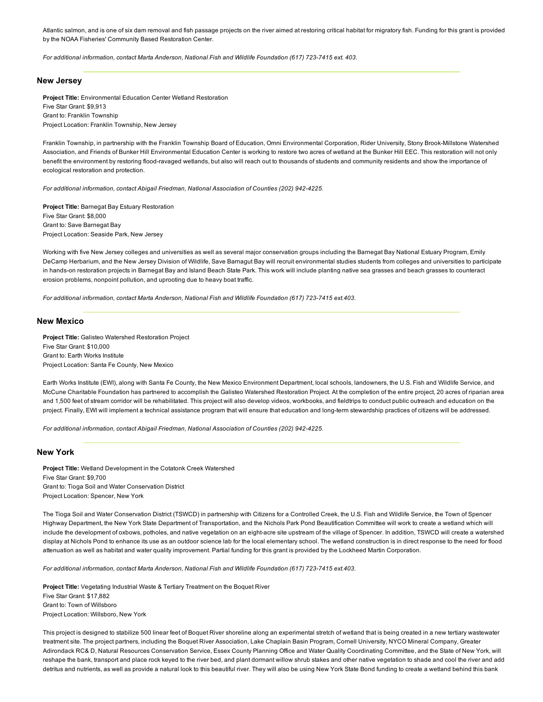Atlantic salmon, and is one of six dam removal and fish passage projects on the river aimed at restoring critical habitat for migratory fish. Funding for this grant is provided by the NOAA Fisheries' Community Based Restoration Center.

*For additional information, contact Marta Anderson, National Fish and Wildlife Foundation (617) 7237415 ext. 403.*

## New Jersey

Project Title: Environmental Education Center Wetland Restoration Five Star Grant: \$9,913 Grant to: Franklin Township Project Location: Franklin Township, New Jersey

Franklin Township, in partnership with the Franklin Township Board of Education, Omni Environmental Corporation, Rider University, Stony Brook-Millstone Watershed Association, and Friends of Bunker Hill Environmental Education Center is working to restore two acres of wetland at the Bunker Hill EEC. This restoration will not only benefit the environment by restoring flood-ravaged wetlands, but also will reach out to thousands of students and community residents and show the importance of ecological restoration and protection.

*For additional information, contact Abigail Friedman, National Association of Counties (202) 9424225.*

Project Title: Barnegat Bay Estuary Restoration Five Star Grant: \$8,000 Grant to: Save Barnegat Bay Project Location: Seaside Park, New Jersey

Working with five New Jersey colleges and universities as well as several major conservation groups including the Barnegat Bay National Estuary Program, Emily DeCamp Herbarium, and the New Jersey Division of Wildlife, Save Barnagut Bay will recruit environmental studies students from colleges and universities to participate in hands-on restoration projects in Barnegat Bay and Island Beach State Park. This work will include planting native sea grasses and beach grasses to counteract erosion problems, nonpoint pollution, and uprooting due to heavy boat traffic.

*For additional information, contact Marta Anderson, National Fish and Wildlife Foundation (617) 7237415 ext.403.*

# New Mexico

Project Title: Galisteo Watershed Restoration Project Five Star Grant: \$10,000 Grant to: Earth Works Institute Project Location: Santa Fe County, New Mexico

Earth Works Institute (EWI), along with Santa Fe County, the New Mexico Environment Department, local schools, landowners, the U.S. Fish and Wildlife Service, and McCune Charitable Foundation has partnered to accomplish the Galisteo Watershed Restoration Project. At the completion of the entire project, 20 acres of riparian area and 1,500 feet of stream corridor will be rehabilitated. This project will also develop videos, workbooks, and fieldtrips to conduct public outreach and education on the project. Finally, EWI will implement a technical assistance program that will ensure that education and long-term stewardship practices of citizens will be addressed.

*For additional information, contact Abigail Friedman, National Association of Counties (202) 9424225.*

# New York

Project Title: Wetland Development in the Cotatonk Creek Watershed Five Star Grant: \$9,700 Grant to: Tioga Soil and Water Conservation District Project Location: Spencer, New York

The Tioga Soil and Water Conservation District (TSWCD) in partnership with Citizens for a Controlled Creek, the U.S. Fish and Wildlife Service, the Town of Spencer Highway Department, the New York State Department of Transportation, and the Nichols Park Pond Beautification Committee will work to create a wetland which will include the development of oxbows, potholes, and native vegetation on an eight-acre site upstream of the village of Spencer. In addition, TSWCD will create a watershed display at Nichols Pond to enhance its use as an outdoor science lab for the local elementary school. The wetland construction is in direct response to the need for flood attenuation as well as habitat and water quality improvement. Partial funding for this grant is provided by the Lockheed Martin Corporation.

*For additional information, contact Marta Anderson, National Fish and Wildlife Foundation (617) 7237415 ext.403.*

Project Title: Vegetating Industrial Waste & Tertiary Treatment on the Boquet River Five Star Grant: \$17,882 Grant to: Town of Willsboro Project Location: Willsboro, New York

This project is designed to stabilize 500 linear feet of Boquet River shoreline along an experimental stretch of wetland that is being created in a new tertiary wastewater treatment site. The project partners, including the Boquet River Association, Lake Chaplain Basin Program, Cornell University, NYCO Mineral Company, Greater Adirondack RC& D, Natural Resources Conservation Service, Essex County Planning Office and Water Quality Coordinating Committee, and the State of New York, will reshape the bank, transport and place rock keyed to the river bed, and plant dormant willow shrub stakes and other native vegetation to shade and cool the river and add detritus and nutrients, as well as provide a natural look to this beautiful river. They will also be using New York State Bond funding to create a wetland behind this bank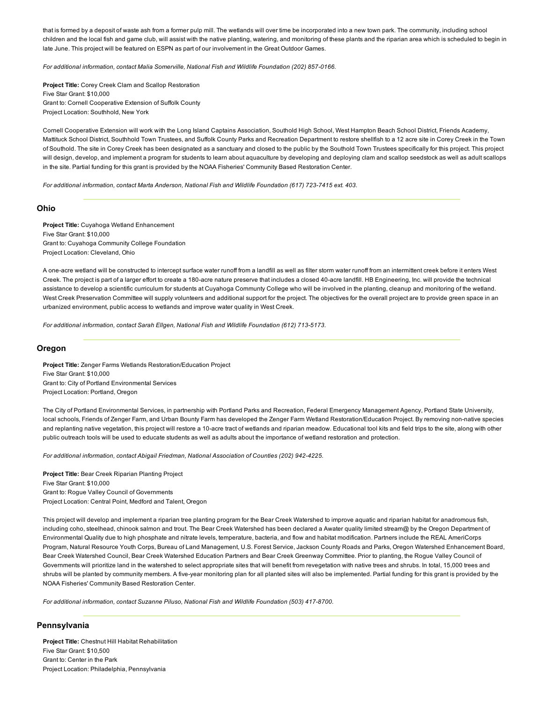that is formed by a deposit of waste ash from a former pulp mill. The wetlands will over time be incorporated into a new town park. The community, including school children and the local fish and game club, will assist with the native planting, watering, and monitoring of these plants and the riparian area which is scheduled to begin in late June. This project will be featured on ESPN as part of our involvement in the Great Outdoor Games.

For additional information, contact Malia Somerville, National Fish and Wildlife Foundation (202) 857-0166.

Project Title: Corey Creek Clam and Scallop Restoration Five Star Grant: \$10,000 Grant to: Cornell Cooperative Extension of Suffolk County Project Location: Southhold, New York

Cornell Cooperative Extension will work with the Long Island Captains Association, Southold High School, West Hampton Beach School District, Friends Academy, Mattituck School District, Southhold Town Trustees, and Suffolk County Parks and Recreation Department to restore shellfish to a 12 acre site in Corey Creek in the Town of Southold. The site in Corey Creek has been designated as a sanctuary and closed to the public by the Southold Town Trustees specifically for this project. This project will design, develop, and implement a program for students to learn about aquaculture by developing and deploying clam and scallop seedstock as well as adult scallops in the site. Partial funding for this grant is provided by the NOAA Fisheries' Community Based Restoration Center.

*For additional information, contact Marta Anderson, National Fish and Wildlife Foundation (617) 7237415 ext. 403.*

#### Ohio

Project Title: Cuyahoga Wetland Enhancement Five Star Grant: \$10,000 Grant to: Cuyahoga Community College Foundation Project Location: Cleveland, Ohio

A one-acre wetland will be constructed to intercept surface water runoff from a landfill as well as filter storm water runoff from an intermittent creek before it enters West Creek. The project is part of a larger effort to create a 180-acre nature preserve that includes a closed 40-acre landfill. HB Engineering, Inc. will provide the technical assistance to develop a scientific curriculum for students at Cuyahoga Communty College who will be involved in the planting, cleanup and monitoring of the wetland. West Creek Preservation Committee will supply volunteers and additional support for the project. The objectives for the overall project are to provide green space in an urbanized environment, public access to wetlands and improve water quality in West Creek.

*For additional information, contact Sarah Ellgen, National Fish and Wildlife Foundation (612) 7135173.*

#### Oregon

Project Title: Zenger Farms Wetlands Restoration/Education Project Five Star Grant: \$10,000 Grant to: City of Portland Environmental Services Project Location: Portland, Oregon

The City of Portland Environmental Services, in partnership with Portland Parks and Recreation, Federal Emergency Management Agency, Portland State University, local schools, Friends of Zenger Farm, and Urban Bounty Farm has developed the Zenger Farm Wetland Restoration/Education Project. By removing non-native species and replanting native vegetation, this project will restore a 10-acre tract of wetlands and riparian meadow. Educational tool kits and field trips to the site, along with other public outreach tools will be used to educate students as well as adults about the importance of wetland restoration and protection.

*For additional information, contact Abigail Friedman, National Association of Counties (202) 9424225.*

Project Title: Bear Creek Riparian Planting Project Five Star Grant: \$10,000 Grant to: Rogue Valley Council of Governments Project Location: Central Point, Medford and Talent, Oregon

This project will develop and implement a riparian tree planting program for the Bear Creek Watershed to improve aquatic and riparian habitat for anadromous fish, including coho, steelhead, chinook salmon and trout. The Bear Creek Watershed has been declared a Awater quality limited stream@ by the Oregon Department of Environmental Quality due to high phosphate and nitrate levels, temperature, bacteria, and flow and habitat modification. Partners include the REAL AmeriCorps Program, Natural Resource Youth Corps, Bureau of Land Management, U.S. Forest Service, Jackson County Roads and Parks, Oregon Watershed Enhancement Board, Bear Creek Watershed Council, Bear Creek Watershed Education Partners and Bear Creek Greenway Committee. Prior to planting, the Rogue Valley Council of Governments will prioritize land in the watershed to select appropriate sites that will benefit from revegetation with native trees and shrubs. In total, 15,000 trees and shrubs will be planted by community members. A five-year monitoring plan for all planted sites will also be implemented. Partial funding for this grant is provided by the NOAA Fisheries' Community Based Restoration Center.

For additional information, contact Suzanne Piluso, National Fish and Wildlife Foundation (503) 417-8700.

# Pennsylvania

Project Title: Chestnut Hill Habitat Rehabilitation Five Star Grant: \$10,500 Grant to: Center in the Park Project Location: Philadelphia, Pennsylvania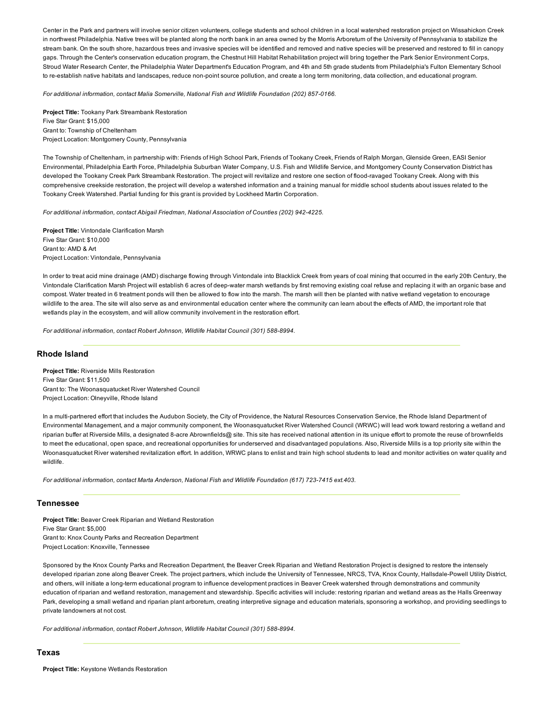Center in the Park and partners will involve senior citizen volunteers, college students and school children in a local watershed restoration project on Wissahickon Creek in northwest Philadelphia. Native trees will be planted along the north bank in an area owned by the Morris Arboretum of the University of Pennsylvania to stabilize the stream bank. On the south shore, hazardous trees and invasive species will be identified and removed and native species will be preserved and restored to fill in canopy gaps. Through the Center's conservation education program, the Chestnut Hill Habitat Rehabilitation project will bring together the Park Senior Environment Corps, Stroud Water Research Center, the Philadelphia Water Department's Education Program, and 4th and 5th grade students from Philadelphia's Fulton Elementary School to re-establish native habitats and landscapes, reduce non-point source pollution, and create a long term monitoring, data collection, and educational program.

For additional information, contact Malia Somerville, National Fish and Wildlife Foundation (202) 857-0166.

Project Title: Tookany Park Streambank Restoration Five Star Grant: \$15,000 Grant to: Township of Cheltenham Project Location: Montgomery County, Pennsylvania

The Township of Cheltenham, in partnership with: Friends of High School Park, Friends of Tookany Creek, Friends of Ralph Morgan, Glenside Green, EASI Senior Environmental, Philadelphia Earth Force, Philadelphia Suburban Water Company, U.S. Fish and Wildlife Service, and Montgomery County Conservation District has developed the Tookany Creek Park Streambank Restoration. The project will revitalize and restore one section of flood-ravaged Tookany Creek. Along with this comprehensive creekside restoration, the project will develop a watershed information and a training manual for middle school students about issues related to the Tookany Creek Watershed. Partial funding for this grant is provided by Lockheed Martin Corporation.

*For additional information, contact Abigail Friedman, National Association of Counties (202) 9424225.*

Project Title: Vintondale Clarification Marsh Five Star Grant: \$10,000 Grant to: AMD & Art Project Location: Vintondale, Pennsylvania

In order to treat acid mine drainage (AMD) discharge flowing through Vintondale into Blacklick Creek from years of coal mining that occurred in the early 20th Century, the Vintondale Clarification Marsh Project will establish 6 acres of deepwater marsh wetlands by first removing existing coal refuse and replacing it with an organic base and compost. Water treated in 6 treatment ponds will then be allowed to flow into the marsh. The marsh will then be planted with native wetland vegetation to encourage wildlife to the area. The site will also serve as and environmental education center where the community can learn about the effects of AMD, the important role that wetlands play in the ecosystem, and will allow community involvement in the restoration effort.

For additional information, contact Robert Johnson, Wildlife Habitat Council (301) 588-8994.

# Rhode Island

Project Title: Riverside Mills Restoration Five Star Grant: \$11,500 Grant to: The Woonasquatucket River Watershed Council Project Location: Olneyville, Rhode Island

In a multi-partnered effort that includes the Audubon Society, the City of Providence, the Natural Resources Conservation Service, the Rhode Island Department of Environmental Management, and a major community component, the Woonasquatucket River Watershed Council (WRWC) will lead work toward restoring a wetland and riparian buffer at Riverside Mills, a designated 8-acre Abrownfields@ site. This site has received national attention in its unique effort to promote the reuse of brownfields to meet the educational, open space, and recreational opportunities for underserved and disadvantaged populations. Also, Riverside Mills is a top priority site within the Woonasquatucket River watershed revitalization effort. In addition, WRWC plans to enlist and train high school students to lead and monitor activities on water quality and wildlife.

*For additional information, contact Marta Anderson, National Fish and Wildlife Foundation (617) 723-7415 ext.403.* 

# Tennessee

Project Title: Beaver Creek Riparian and Wetland Restoration Five Star Grant: \$5,000 Grant to: Knox County Parks and Recreation Department Project Location: Knoxville, Tennessee

Sponsored by the Knox County Parks and Recreation Department, the Beaver Creek Riparian and Wetland Restoration Project is designed to restore the intensely developed riparian zone along Beaver Creek. The project partners, which include the University of Tennessee, NRCS, TVA, Knox County, Hallsdale-Powell Utility District, and others, will initiate a long-term educational program to influence development practices in Beaver Creek watershed through demonstrations and community education of riparian and wetland restoration, management and stewardship. Specific activities will include: restoring riparian and wetland areas as the Halls Greenway Park, developing a small wetland and riparian plant arboretum, creating interpretive signage and education materials, sponsoring a workshop, and providing seedlings to private landowners at not cost.

For additional information, contact Robert Johnson, Wildlife Habitat Council (301) 588-8994.

# Texas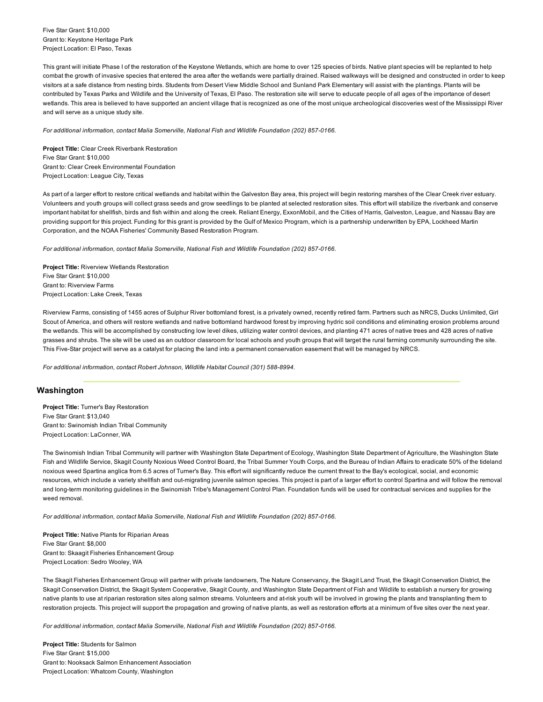Five Star Grant: \$10,000 Grant to: Keystone Heritage Park Project Location: El Paso, Texas

This grant will initiate Phase I of the restoration of the Keystone Wetlands, which are home to over 125 species of birds. Native plant species will be replanted to help combat the growth of invasive species that entered the area after the wetlands were partially drained. Raised walkways will be designed and constructed in order to keep visitors at a safe distance from nesting birds. Students from Desert View Middle School and Sunland Park Elementary will assist with the plantings. Plants will be contributed by Texas Parks and Wildlife and the University of Texas, El Paso. The restoration site will serve to educate people of all ages of the importance of desert wetlands. This area is believed to have supported an ancient village that is recognized as one of the most unique archeological discoveries west of the Mississippi River and will serve as a unique study site.

For additional information, contact Malia Somerville, National Fish and Wildlife Foundation (202) 857-0166.

Project Title: Clear Creek Riverbank Restoration Five Star Grant: \$10,000 Grant to: Clear Creek Environmental Foundation Project Location: League City, Texas

As part of a larger effort to restore critical wetlands and habitat within the Galveston Bay area, this project will begin restoring marshes of the Clear Creek river estuary. Volunteers and youth groups will collect grass seeds and grow seedlings to be planted at selected restoration sites. This effort will stabilize the riverbank and conserve important habitat for shellfish, birds and fish within and along the creek. Reliant Energy, ExxonMobil, and the Cities of Harris, Galveston, League, and Nassau Bay are providing support for this project. Funding for this grant is provided by the Gulf of Mexico Program, which is a partnership underwritten by EPA, Lockheed Martin Corporation, and the NOAA Fisheries' Community Based Restoration Program.

For additional information, contact Malia Somerville, National Fish and Wildlife Foundation (202) 857-0166.

Project Title: Riverview Wetlands Restoration Five Star Grant: \$10,000 Grant to: Riverview Farms Project Location: Lake Creek, Texas

Riverview Farms, consisting of 1455 acres of Sulphur River bottomland forest, is a privately owned, recently retired farm. Partners such as NRCS, Ducks Unlimited, Girl Scout of America, and others will restore wetlands and native bottomland hardwood forest by improving hydric soil conditions and eliminating erosion problems around the wetlands. This will be accomplished by constructing low level dikes, utilizing water control devices, and planting 471 acres of native trees and 428 acres of native grasses and shrubs. The site will be used as an outdoor classroom for local schools and youth groups that will target the rural farming community surrounding the site. This Five-Star project will serve as a catalyst for placing the land into a permanent conservation easement that will be managed by NRCS.

For additional information, contact Robert Johnson, Wildlife Habitat Council (301) 588-8994.

# Washington

Project Title: Turner's Bay Restoration Five Star Grant: \$13,040 Grant to: Swinomish Indian Tribal Community Project Location: LaConner, WA

The Swinomish Indian Tribal Community will partner with Washington State Department of Ecology, Washington State Department of Agriculture, the Washington State Fish and Wildlife Service, Skagit County Noxious Weed Control Board, the Tribal Summer Youth Corps, and the Bureau of Indian Affairs to eradicate 50% of the tideland noxious weed Spartina anglica from 6.5 acres of Turner's Bay. This effort will significantly reduce the current threat to the Bay's ecological, social, and economic resources, which include a variety shellfish and out-migrating juvenile salmon species. This project is part of a larger effort to control Spartina and will follow the removal and long-term monitoring quidelines in the Swinomish Tribe's Management Control Plan. Foundation funds will be used for contractual services and supplies for the weed removal.

For additional information, contact Malia Somerville, National Fish and Wildlife Foundation (202) 857-0166.

Project Title: Native Plants for Riparian Areas Five Star Grant: \$8,000 Grant to: Skaagit Fisheries Enhancement Group Project Location: Sedro Wooley, WA

The Skagit Fisheries Enhancement Group will partner with private landowners, The Nature Conservancy, the Skagit Land Trust, the Skagit Conservation District, the Skagit Conservation District, the Skagit System Cooperative, Skagit County, and Washington State Department of Fish and Wildlife to establish a nursery for growing native plants to use at riparian restoration sites along salmon streams. Volunteers and atrisk youth will be involved in growing the plants and transplanting them to restoration projects. This project will support the propagation and growing of native plants, as well as restoration efforts at a minimum of five sites over the next year.

For additional information, contact Malia Somerville, National Fish and Wildlife Foundation (202) 857-0166.

Project Title: Students for Salmon Five Star Grant: \$15,000 Grant to: Nooksack Salmon Enhancement Association Project Location: Whatcom County, Washington